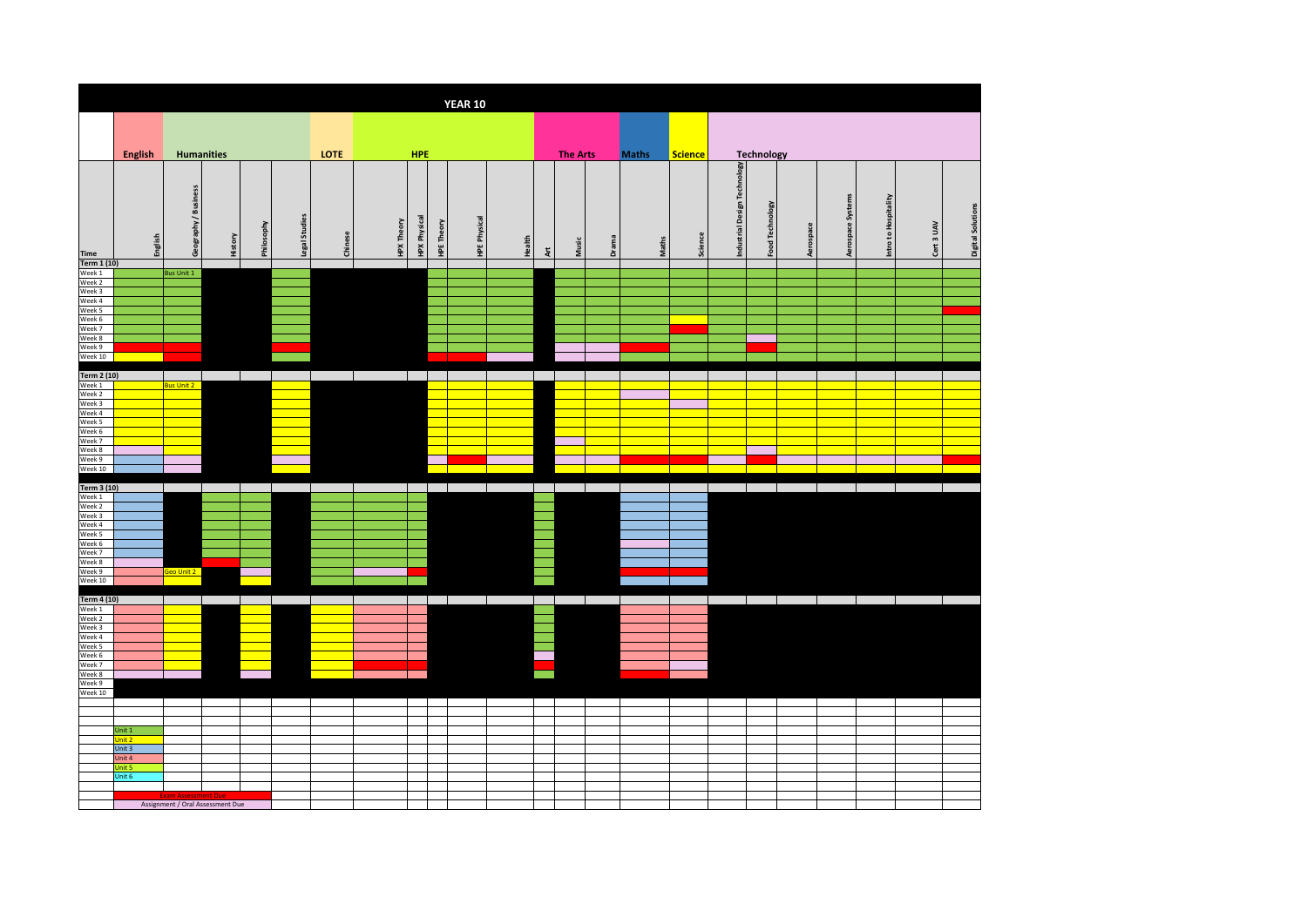|                                                                                                   |                  |                      |                                  |            |               |         |                   |                     |                   | <b>YEAR 10</b>      |        |                 |                 |       |              |                |                              |                            |                                |                      |            |                   |
|---------------------------------------------------------------------------------------------------|------------------|----------------------|----------------------------------|------------|---------------|---------|-------------------|---------------------|-------------------|---------------------|--------|-----------------|-----------------|-------|--------------|----------------|------------------------------|----------------------------|--------------------------------|----------------------|------------|-------------------|
|                                                                                                   |                  |                      |                                  |            |               |         |                   |                     |                   |                     |        |                 |                 |       |              |                |                              |                            |                                |                      |            |                   |
|                                                                                                   | English          |                      | <b>Humanities</b>                |            |               | LOTE    |                   | <b>HPE</b>          |                   |                     |        |                 | <b>The Arts</b> |       | <b>Maths</b> | <b>Science</b> |                              | Technology                 |                                |                      |            |                   |
| <b>Time</b>                                                                                       | English          | Geography / Business | History                          | Philosophy | Legal Studies | Chinese | <b>HPX Theory</b> | <b>HPX Physical</b> | <b>HPE Theory</b> | <b>HPE Physical</b> | Health | $\frac{\pi}{2}$ | Music           | Drama | Maths        | Science        | Industrial Design Technology | Food Technology            | Aerospace Systems<br>Aerospace | Intro to Hospitality | Cert 3 UAV | Digital Solutions |
| Term 1 (10)                                                                                       |                  |                      |                                  |            |               |         |                   |                     |                   |                     |        |                 |                 |       |              |                |                              |                            |                                |                      |            |                   |
| Week 1<br>Week 2<br>Week 3<br>Week 4<br>Week 5<br>Week 6<br>Week 7<br>Week 8<br>Week 9<br>Week 10 |                  | <b>Bus Unit 1</b>    |                                  |            |               |         |                   |                     |                   |                     |        |                 |                 |       |              |                |                              |                            |                                |                      |            |                   |
|                                                                                                   |                  |                      |                                  |            |               |         |                   |                     |                   |                     |        |                 |                 |       |              |                |                              |                            |                                |                      |            |                   |
| <b>Term 2 (10)</b><br>Week 1<br>Week 2<br>Week 3<br>Week 4                                        |                  | <b>Bus Unit 2</b>    |                                  |            |               |         |                   |                     |                   |                     |        |                 |                 |       |              |                |                              |                            |                                |                      |            |                   |
| Week 5<br>Week 6                                                                                  |                  |                      |                                  |            |               |         |                   |                     |                   |                     |        |                 |                 |       |              |                |                              |                            |                                |                      |            |                   |
| Week 7                                                                                            |                  |                      |                                  |            |               |         |                   |                     |                   |                     |        |                 |                 |       |              |                |                              |                            |                                |                      |            |                   |
| Week 8<br>Week 9                                                                                  |                  |                      |                                  |            |               |         |                   |                     |                   |                     |        |                 |                 |       |              |                |                              |                            |                                |                      |            |                   |
| Week 10                                                                                           |                  |                      |                                  |            |               |         |                   |                     |                   |                     |        |                 |                 |       |              |                |                              |                            |                                |                      |            |                   |
| Term 3 (10)                                                                                       |                  |                      |                                  |            |               |         |                   |                     |                   |                     |        |                 |                 |       |              |                |                              |                            |                                |                      |            |                   |
| Week 1<br>Week 2                                                                                  |                  |                      |                                  |            |               |         |                   |                     |                   |                     |        |                 |                 |       |              |                |                              |                            |                                |                      |            |                   |
| Week 3                                                                                            |                  |                      |                                  |            |               |         |                   |                     |                   |                     |        |                 |                 |       |              |                |                              |                            |                                |                      |            |                   |
| Week 4<br>Week 5                                                                                  |                  |                      |                                  |            |               |         |                   |                     |                   |                     |        |                 |                 |       |              |                |                              |                            |                                |                      |            |                   |
| Week 6<br>Week 7                                                                                  |                  |                      |                                  |            |               |         |                   |                     |                   |                     |        |                 |                 |       |              |                |                              |                            |                                |                      |            |                   |
| Week 8                                                                                            |                  |                      |                                  |            |               |         |                   |                     |                   |                     |        |                 |                 |       |              |                |                              |                            |                                |                      |            |                   |
| Week 9<br>Week 10                                                                                 |                  | Geo Unit 2           |                                  |            |               |         |                   |                     |                   |                     |        |                 |                 |       |              |                |                              |                            |                                |                      |            |                   |
|                                                                                                   |                  |                      |                                  |            |               |         |                   |                     |                   |                     |        |                 |                 |       |              |                |                              |                            |                                |                      |            |                   |
| Term 4 (10)<br>Week 1                                                                             |                  |                      |                                  |            |               |         |                   |                     |                   |                     |        |                 |                 |       |              |                |                              | and the state of the state | and the control                | and the state        |            |                   |
| Week 2                                                                                            |                  |                      |                                  |            |               |         |                   |                     |                   |                     |        |                 |                 |       |              |                |                              |                            |                                |                      |            |                   |
| Week 3<br>Week 4                                                                                  |                  |                      |                                  |            |               |         |                   |                     |                   |                     |        |                 |                 |       |              |                |                              |                            |                                |                      |            |                   |
| Week 5                                                                                            |                  |                      |                                  |            |               |         |                   |                     |                   |                     |        |                 |                 |       |              |                |                              |                            |                                |                      |            |                   |
| Week 6<br>Week 7                                                                                  |                  |                      |                                  |            |               |         |                   |                     |                   |                     |        |                 |                 |       |              |                |                              |                            |                                |                      |            |                   |
| Week 8<br>Week 9                                                                                  |                  |                      |                                  |            |               |         |                   |                     |                   |                     |        |                 |                 |       |              |                |                              |                            |                                |                      |            |                   |
| Week 10                                                                                           |                  |                      |                                  |            |               |         |                   |                     |                   |                     |        |                 |                 |       |              |                |                              |                            |                                |                      |            |                   |
|                                                                                                   |                  |                      |                                  |            |               |         |                   |                     |                   |                     |        |                 |                 |       |              |                |                              |                            |                                |                      |            |                   |
|                                                                                                   |                  |                      |                                  |            |               |         |                   |                     |                   |                     |        |                 |                 |       |              |                |                              |                            |                                |                      |            |                   |
|                                                                                                   | Unit 1<br>Unit 2 |                      |                                  |            |               |         |                   |                     |                   |                     |        |                 |                 |       |              |                |                              |                            |                                |                      |            |                   |
|                                                                                                   | Unit 3           |                      |                                  |            |               |         |                   |                     |                   |                     |        |                 |                 |       |              |                |                              |                            |                                |                      |            |                   |
|                                                                                                   | Unit 4<br>Unit 5 |                      |                                  |            |               |         |                   |                     |                   |                     |        |                 |                 |       |              |                |                              |                            |                                |                      |            |                   |
|                                                                                                   | Unit 6           |                      |                                  |            |               |         |                   |                     |                   |                     |        |                 |                 |       |              |                |                              |                            |                                |                      |            |                   |
|                                                                                                   |                  |                      | Assignment / Oral Assessment Due |            |               |         |                   |                     |                   |                     |        |                 |                 |       |              |                |                              |                            |                                |                      |            |                   |